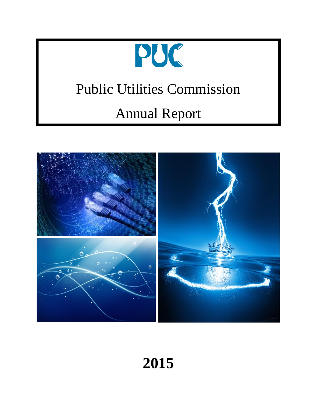

# Public Utilities Commission

# Annual Report



**2015**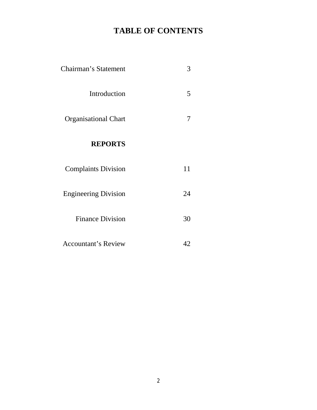# **TABLE OF CONTENTS**

| Chairman's Statement        | 3  |
|-----------------------------|----|
| Introduction                | 5  |
| <b>Organisational Chart</b> | 7  |
| <b>REPORTS</b>              |    |
| <b>Complaints Division</b>  | 11 |
| <b>Engineering Division</b> | 24 |
| <b>Finance Division</b>     | 30 |
| <b>Accountant's Review</b>  | 42 |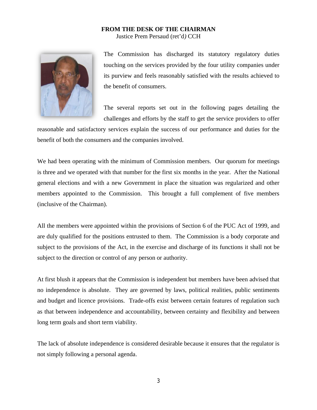#### **FROM THE DESK OF THE CHAIRMAN** Justice Prem Persaud (ret'd*)* CCH



The Commission has discharged its statutory regulatory duties touching on the services provided by the four utility companies under its purview and feels reasonably satisfied with the results achieved to the benefit of consumers.

The several reports set out in the following pages detailing the challenges and efforts by the staff to get the service providers to offer

reasonable and satisfactory services explain the success of our performance and duties for the benefit of both the consumers and the companies involved.

We had been operating with the minimum of Commission members. Our quorum for meetings is three and we operated with that number for the first six months in the year. After the National general elections and with a new Government in place the situation was regularized and other members appointed to the Commission. This brought a full complement of five members (inclusive of the Chairman).

All the members were appointed within the provisions of Section 6 of the PUC Act of 1999, and are duly qualified for the positions entrusted to them. The Commission is a body corporate and subject to the provisions of the Act, in the exercise and discharge of its functions it shall not be subject to the direction or control of any person or authority.

At first blush it appears that the Commission is independent but members have been advised that no independence is absolute. They are governed by laws, political realities, public sentiments and budget and licence provisions. Trade-offs exist between certain features of regulation such as that between independence and accountability, between certainty and flexibility and between long term goals and short term viability.

The lack of absolute independence is considered desirable because it ensures that the regulator is not simply following a personal agenda.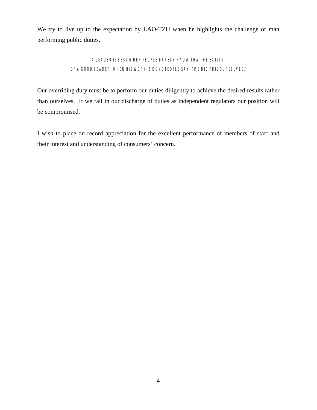We try to live up to the expectation by LAO-TZU when he highlights the challenge of man performing public duties.

## A LEADER IS BEST WHEN PEOPLE BARELY KNOW THAT HE EXISTS. OF A GOOD LEADER, WHEN HIS WORK IS DONE PEOPLE SAY, "WE DID THIS OURSELVES."

Our overriding duty must be to perform our duties diligently to achieve the desired results rather than ourselves. If we fail in our discharge of duties as independent regulators our position will be compromised.

I wish to place on record appreciation for the excellent performance of members of staff and their interest and understanding of consumers' concern.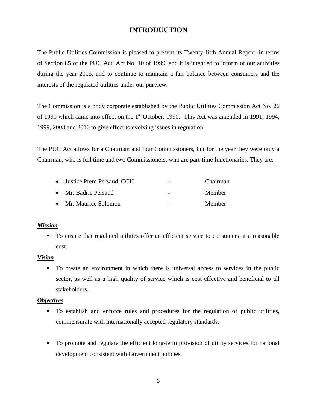## **INTRODUCTION**

The Public Utilities Commission is pleased to present its Twenty-fifth Annual Report, in terms of Section 85 of the PUC Act, Act No. 10 of 1999, and it is intended to inform of our activities during the year 2015, and to continue to maintain a fair balance between consumers and the interests of the regulated utilities under our purview.

The Commission is a body corporate established by the Public Utilities Commission Act No. 26 of 1990 which came into effect on the 1<sup>st</sup> October, 1990. This Act was amended in 1991, 1994, 1999, 2003 and 2010 to give effect to evolving issues in regulation.

The PUC Act allows for a Chairman and four Commissioners, but for the year they were only a Chairman, who is full time and two Commissioners, who are part-time functionaries. They are:

| • Justice Prem Persaud, CCH | $\overline{\phantom{a}}$ | Chairman |
|-----------------------------|--------------------------|----------|
| • Mr. Badrie Persaud        | $\overline{\phantom{a}}$ | Member   |
| • Mr. Maurice Solomon       | $\overline{\phantom{0}}$ | Member   |

#### *Mission*

■ To ensure that regulated utilities offer an efficient service to consumers at a reasonable cost.

#### *Vision*

■ To create an environment in which there is universal access to services in the public sector, as well as a high quality of service which is cost effective and beneficial to all stakeholders.

#### *Objectives*

- ß To establish and enforce rules and procedures for the regulation of public utilities, commensurate with internationally accepted regulatory standards.
- ß To promote and regulate the efficient long-term provision of utility services for national development consistent with Government policies.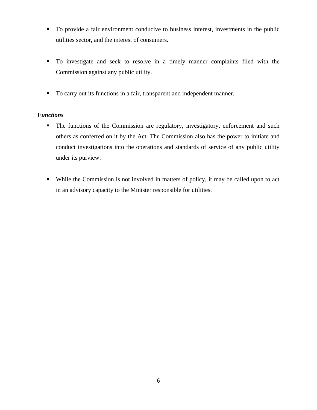- To provide a fair environment conducive to business interest, investments in the public utilities sector, and the interest of consumers.
- ß To investigate and seek to resolve in a timely manner complaints filed with the Commission against any public utility.
- To carry out its functions in a fair, transparent and independent manner.

## *Functions*

- The functions of the Commission are regulatory, investigatory, enforcement and such others as conferred on it by the Act. The Commission also has the power to initiate and conduct investigations into the operations and standards of service of any public utility under its purview.
- While the Commission is not involved in matters of policy, it may be called upon to act in an advisory capacity to the Minister responsible for utilities.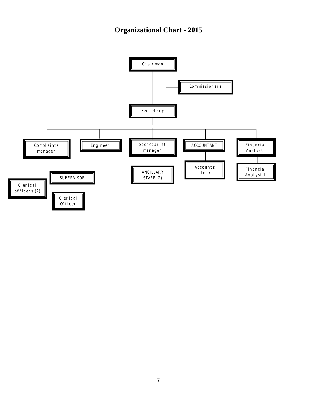## **Organizational Chart - 2015**

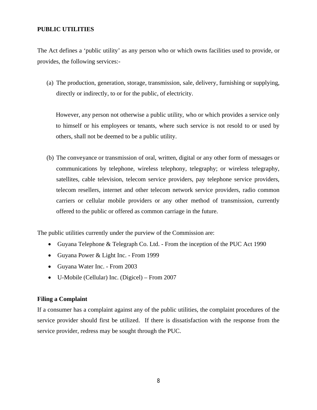#### **PUBLIC UTILITIES**

The Act defines a 'public utility' as any person who or which owns facilities used to provide, or provides, the following services:-

(a) The production, generation, storage, transmission, sale, delivery, furnishing or supplying, directly or indirectly, to or for the public, of electricity.

However, any person not otherwise a public utility, who or which provides a service only to himself or his employees or tenants, where such service is not resold to or used by others, shall not be deemed to be a public utility.

(b) The conveyance or transmission of oral, written, digital or any other form of messages or communications by telephone, wireless telephony, telegraphy; or wireless telegraphy, satellites, cable television, telecom service providers, pay telephone service providers, telecom resellers, internet and other telecom network service providers, radio common carriers or cellular mobile providers or any other method of transmission, currently offered to the public or offered as common carriage in the future.

The public utilities currently under the purview of the Commission are:

- ∑ Guyana Telephone & Telegraph Co. Ltd. From the inception of the PUC Act 1990
- ∑ Guyana Power & Light Inc. From 1999
- ∑ Guyana Water Inc. From 2003
- ∑ U-Mobile (Cellular) Inc. (Digicel) From 2007

#### **Filing a Complaint**

If a consumer has a complaint against any of the public utilities, the complaint procedures of the service provider should first be utilized. If there is dissatisfaction with the response from the service provider, redress may be sought through the PUC.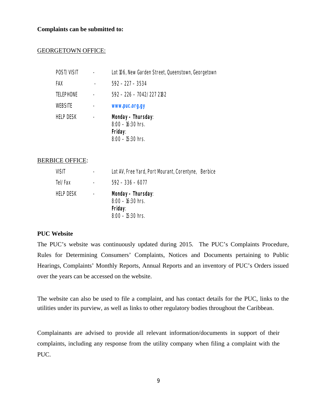#### **Complaints can be submitted to:**

#### GEORGETOWN OFFICE:

| POST/VISIT       | Lot 106, New Garden Street, Queenstown, Georgetown                          |
|------------------|-----------------------------------------------------------------------------|
| FAX              | $592 - 227 - 3534$                                                          |
| <b>TELEPHONE</b> | 592 - 226 - 7042/227 2182                                                   |
| <b>WEBSITE</b>   | www.puc.org.gy                                                              |
| <b>HELP DESK</b> | Monday - Thursday:<br>$8:00 - 16:30$ hrs.<br>Friday:<br>$8:00 - 15:30$ hrs. |

#### BERBICE OFFICE:

| VISIT     | Lot AV, Free Yard, Port Mourant, Corentyne, Berbice                         |  |
|-----------|-----------------------------------------------------------------------------|--|
| Tel/Fax   | $592 - 336 - 6077$                                                          |  |
| HELP DESK | Monday – Thursday:<br>$8:00 - 16:30$ hrs.<br>Friday:<br>$8:00 - 15:30$ hrs. |  |

#### **PUC Website**

The PUC's website was continuously updated during 2015. The PUC's Complaints Procedure, Rules for Determining Consumers' Complaints, Notices and Documents pertaining to Public Hearings, Complaints' Monthly Reports, Annual Reports and an inventory of PUC's Orders issued over the years can be accessed on the website.

The website can also be used to file a complaint, and has contact details for the PUC, links to the utilities under its purview, as well as links to other regulatory bodies throughout the Caribbean.

Complainants are advised to provide all relevant information/documents in support of their complaints, including any response from the utility company when filing a complaint with the PUC.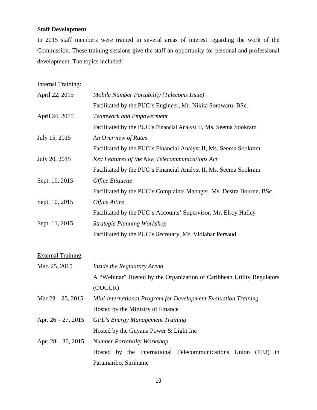## **Staff Development**

In 2015 staff members were trained in several areas of interest regarding the work of the Commission. These training sessions give the staff an opportunity for personal and professional development. The topics included:

**Internal Training:** 

| April 22, 2015            | Mobile Number Portability (Telecoms Issue)                             |
|---------------------------|------------------------------------------------------------------------|
|                           | Facilitated by the PUC's Engineer, Mr. Nikita Somwaru, BSc.            |
| April 24, 2015            | <b>Teamwork and Empowerment</b>                                        |
|                           | Facilitated by the PUC's Financial Analyst II, Ms. Seema Sookram       |
| July 15, 2015             | An Overview of Rates                                                   |
|                           | Facilitated by the PUC's Financial Analyst II, Ms. Seema Sookram       |
| July 20, 2015             | Key Features of the New Telecommunications Act                         |
|                           | Facilitated by the PUC's Financial Analyst II, Ms. Seema Sookram       |
| Sept. 10, 2015            | Office Etiquette                                                       |
|                           | Facilitated by the PUC's Complaints Manager, Ms. Destra Bourne, BSc    |
| Sept. 10, 2015            | Office Attire                                                          |
|                           | Facilitated by the PUC's Accounts' Supervisor, Mr. Elroy Halley        |
| Sept. 11, 2015            | <b>Strategic Planning Workshop</b>                                     |
|                           | Facilitated by the PUC's Secretary, Mr. Vidiahar Persaud               |
| <b>External Training:</b> |                                                                        |
| Mar. 25, 2015             | Inside the Regulatory Arena                                            |
|                           | A "Webinar" Hosted by the Organization of Caribbean Utility Regulators |
|                           | (OOCUR)                                                                |
| Mar $23 - 25$ , 2015      | Mini-international Program for Development Evaluation Training         |
|                           | Hosted by the Ministry of Finance                                      |
| Apr. $26 - 27$ , 2015     | <b>GPL's Energy Management Training</b>                                |
|                           | Hosted by the Guyana Power & Light Inc                                 |

Apr. 28 – 30, 2015 *Number Portability Workshop* Hosted by the International Telecommunications Union (ITU) in Paramaribo, Suriname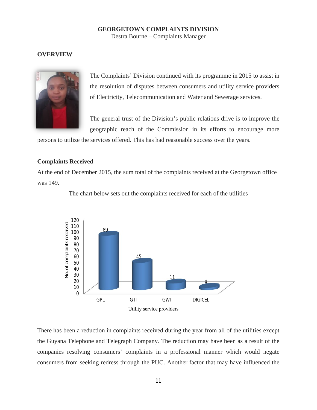#### **GEORGETOWN COMPLAINTS DIVISION** Destra Bourne – Complaints Manager

#### **OVERVIEW**



The Complaints' Division continued with its programme in 2015 to assist in the resolution of disputes between consumers and utility service providers of Electricity, Telecommunication and Water and Sewerage services.

The general trust of the Division's public relations drive is to improve the geographic reach of the Commission in its efforts to encourage more

persons to utilize the services offered. This has had reasonable success over the years.

#### **Complaints Received**

At the end of December 2015, the sum total of the complaints received at the Georgetown office was 149.



The chart below sets out the complaints received for each of the utilities

There has been a reduction in complaints received during the year from all of the utilities except the Guyana Telephone and Telegraph Company. The reduction may have been as a result of the companies resolving consumers' complaints in a professional manner which would negate consumers from seeking redress through the PUC. Another factor that may have influenced the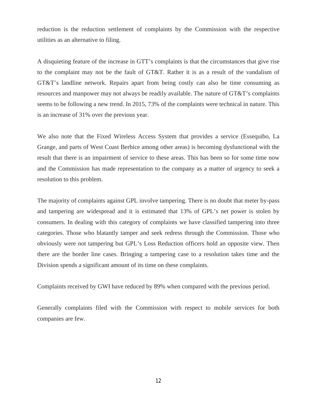reduction is the reduction settlement of complaints by the Commission with the respective utilities as an alternative to filing.

A disquieting feature of the increase in GTT's complaints is that the circumstances that give rise to the complaint may not be the fault of GT&T. Rather it is as a result of the vandalism of GT&T's landline network. Repairs apart from being costly can also be time consuming as resources and manpower may not always be readily available. The nature of GT&T's complaints seems to be following a new trend. In 2015, 73% of the complaints were technical in nature. This is an increase of 31% over the previous year.

We also note that the Fixed Wireless Access System that provides a service (Essequibo, La Grange, and parts of West Coast Berbice among other areas) is becoming dysfunctional with the result that there is an impairment of service to these areas. This has been so for some time now and the Commission has made representation to the company as a matter of urgency to seek a resolution to this problem.

The majority of complaints against GPL involve tampering. There is no doubt that meter by-pass and tampering are widespread and it is estimated that 13% of GPL's net power is stolen by consumers. In dealing with this category of complaints we have classified tampering into three categories. Those who blatantly tamper and seek redress through the Commission. Those who obviously were not tampering but GPL's Loss Reduction officers hold an opposite view. Then there are the border line cases. Bringing a tampering case to a resolution takes time and the Division spends a significant amount of its time on these complaints.

Complaints received by GWI have reduced by 89% when compared with the previous period.

Generally complaints filed with the Commission with respect to mobile services for both companies are few.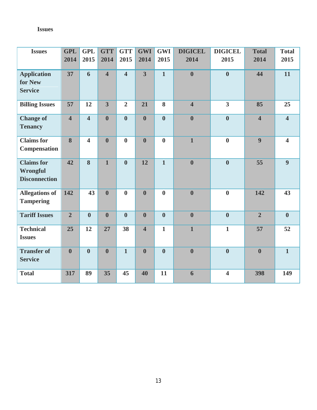## **Issues**

| <b>Issues</b>                                                | <b>GPL</b>              | <b>GPL</b>              | <b>GTT</b>       | <b>GTT</b>              | <b>GWI</b>              | <b>GWI</b>              | <b>DIGICEL</b>          | <b>DIGICEL</b>          | <b>Total</b>            | <b>Total</b>            |
|--------------------------------------------------------------|-------------------------|-------------------------|------------------|-------------------------|-------------------------|-------------------------|-------------------------|-------------------------|-------------------------|-------------------------|
|                                                              | 2014                    | 2015                    | 2014             | 2015                    | 2014                    | 2015                    | 2014                    | 2015                    | 2014                    | 2015                    |
| <b>Application</b><br>for New<br><b>Service</b>              | 37                      | 6                       | $\overline{4}$   | $\overline{\mathbf{4}}$ | $\overline{3}$          | $\mathbf{1}$            | $\boldsymbol{0}$        | $\boldsymbol{0}$        | 44                      | 11                      |
| <b>Billing Issues</b>                                        | 57                      | 12                      | 3 <sup>1</sup>   | $\overline{2}$          | 21                      | 8                       | $\overline{\mathbf{4}}$ | $\overline{\mathbf{3}}$ | 85                      | 25                      |
| <b>Change of</b><br><b>Tenancy</b>                           | $\overline{\mathbf{4}}$ | $\overline{4}$          | $\boldsymbol{0}$ | $\bf{0}$                | $\boldsymbol{0}$        | $\overline{\mathbf{0}}$ | $\bf{0}$                | $\boldsymbol{0}$        | $\overline{\mathbf{4}}$ | $\overline{\mathbf{4}}$ |
| <b>Claims</b> for<br>Compensation                            | 8                       | $\overline{\mathbf{4}}$ | $\boldsymbol{0}$ | $\boldsymbol{0}$        | $\boldsymbol{0}$        | $\bf{0}$                | $\mathbf{1}$            | $\bf{0}$                | $\boldsymbol{9}$        | $\overline{\mathbf{4}}$ |
| <b>Claims</b> for<br><b>Wrongful</b><br><b>Disconnection</b> | 42                      | 8                       | $\mathbf{1}$     | $\bf{0}$                | 12                      | $\overline{1}$          | $\bf{0}$                | $\boldsymbol{0}$        | 55                      | 9                       |
| <b>Allegations of</b><br><b>Tampering</b>                    | 142                     | 43                      | $\bf{0}$         | $\boldsymbol{0}$        | $\mathbf{0}$            | $\bf{0}$                | $\boldsymbol{0}$        | $\boldsymbol{0}$        | 142                     | 43                      |
| <b>Tariff Issues</b>                                         | $\overline{2}$          | $\boldsymbol{0}$        | $\boldsymbol{0}$ | $\boldsymbol{0}$        | $\boldsymbol{0}$        | $\boldsymbol{0}$        | $\boldsymbol{0}$        | $\boldsymbol{0}$        | $\overline{2}$          | $\boldsymbol{0}$        |
| <b>Technical</b><br><b>Issues</b>                            | 25                      | 12                      | 27               | 38                      | $\overline{\mathbf{4}}$ | $\mathbf{1}$            | $\mathbf{1}$            | $\mathbf{1}$            | 57                      | 52                      |
| <b>Transfer of</b><br><b>Service</b>                         | $\bf{0}$                | $\boldsymbol{0}$        | $\bf{0}$         | $\mathbf{1}$            | $\mathbf{0}$            | $\bf{0}$                | $\boldsymbol{0}$        | $\boldsymbol{0}$        | $\boldsymbol{0}$        | $\mathbf{1}$            |
| <b>Total</b>                                                 | 317                     | 89                      | 35               | 45                      | 40                      | 11                      | 6                       | $\overline{\mathbf{4}}$ | 398                     | 149                     |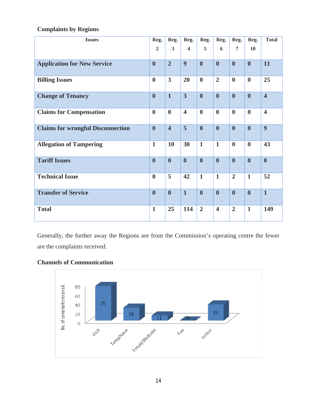| <b>Issues</b>                            | Reg.             | Reg.                    | Reg.                    | Reg.             | Reg.                    | Reg.             | Reg.             | <b>Total</b>            |
|------------------------------------------|------------------|-------------------------|-------------------------|------------------|-------------------------|------------------|------------------|-------------------------|
|                                          | $\overline{2}$   | $\overline{3}$          | $\overline{\mathbf{4}}$ | 5                | 6                       | $\overline{7}$   | 10               |                         |
| <b>Application for New Service</b>       | $\boldsymbol{0}$ | $\overline{2}$          | $\boldsymbol{9}$        | $\bf{0}$         | $\boldsymbol{0}$        | $\boldsymbol{0}$ | $\boldsymbol{0}$ | 11                      |
| <b>Billing Issues</b>                    | $\boldsymbol{0}$ | $\overline{\mathbf{3}}$ | 20                      | $\boldsymbol{0}$ | $\overline{2}$          | $\boldsymbol{0}$ | $\boldsymbol{0}$ | 25                      |
| <b>Change of Tenancy</b>                 | $\boldsymbol{0}$ | $\overline{1}$          | $\overline{3}$          | $\boldsymbol{0}$ | $\boldsymbol{0}$        | $\boldsymbol{0}$ | $\boldsymbol{0}$ | $\overline{\mathbf{4}}$ |
| <b>Claims for Compensation</b>           | $\boldsymbol{0}$ | $\boldsymbol{0}$        | $\overline{\mathbf{4}}$ | $\bf{0}$         | $\boldsymbol{0}$        | $\boldsymbol{0}$ | $\boldsymbol{0}$ | $\overline{\mathbf{4}}$ |
| <b>Claims for wrongful Disconnection</b> | $\boldsymbol{0}$ | $\overline{\mathbf{4}}$ | 5                       | $\boldsymbol{0}$ | $\boldsymbol{0}$        | $\boldsymbol{0}$ | $\boldsymbol{0}$ | 9                       |
| <b>Allegation of Tampering</b>           | $\mathbf{1}$     | <b>10</b>               | 30                      | $\mathbf{1}$     | $\mathbf{1}$            | $\boldsymbol{0}$ | $\boldsymbol{0}$ | 43                      |
| <b>Tariff Issues</b>                     | $\boldsymbol{0}$ | $\boldsymbol{0}$        | $\boldsymbol{0}$        | $\boldsymbol{0}$ | $\boldsymbol{0}$        | $\boldsymbol{0}$ | $\boldsymbol{0}$ | $\boldsymbol{0}$        |
| <b>Technical Issue</b>                   | $\boldsymbol{0}$ | 5                       | 42                      | $\mathbf{1}$     | $\mathbf{1}$            | $\overline{2}$   | $\mathbf{1}$     | 52                      |
| <b>Transfer of Service</b>               | $\boldsymbol{0}$ | $\bf{0}$                | $\mathbf{1}$            | $\boldsymbol{0}$ | $\boldsymbol{0}$        | $\bf{0}$         | $\boldsymbol{0}$ | $\mathbf{1}$            |
| <b>Total</b>                             | $\mathbf{1}$     | 25                      | 114                     | $\overline{2}$   | $\overline{\mathbf{4}}$ | $\overline{2}$   | $\mathbf{1}$     | 149                     |

## **Complaints by Regions**

Generally, the further away the Regions are from the Commission's operating centre the fewer are the complaints received.

## **Channels of Communication**

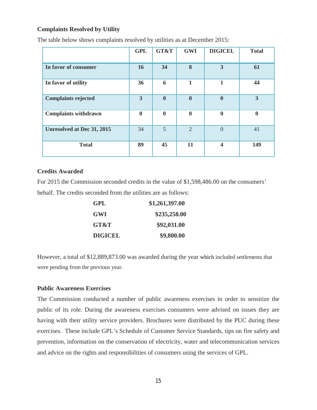#### **Complaints Resolved by Utility**

|                                   | <b>GPL</b>       | GT&T             | <b>GWI</b>     | <b>DIGICEL</b>          | <b>Total</b>            |
|-----------------------------------|------------------|------------------|----------------|-------------------------|-------------------------|
| In favor of consumer              | 16               | 34               | 8              | 3                       | 61                      |
| In favor of utility               | 36               | 6                | 1              | 1                       | 44                      |
| <b>Complaints rejected</b>        | $\overline{3}$   | $\mathbf{0}$     | $\mathbf{0}$   | $\boldsymbol{0}$        | $\overline{\mathbf{3}}$ |
| <b>Complaints withdrawn</b>       | $\boldsymbol{0}$ | $\boldsymbol{0}$ | $\bf{0}$       | $\bf{0}$                | $\mathbf{0}$            |
| <b>Unresolved at Dec 31, 2015</b> | 34               | 5                | $\overline{2}$ | $\overline{0}$          | 41                      |
| <b>Total</b>                      | 89               | 45               | 11             | $\overline{\mathbf{4}}$ | 149                     |

The table below shows complaints resolved by utilities as at December 2015:

#### **Credits Awarded**

For 2015 the Commission seconded credits in the value of \$1,598,486.00 on the consumers' behalf. The credits seconded from the utilities are as follows:

| <b>GPL</b>     | \$1,261,397.00 |
|----------------|----------------|
| GWI            | \$235,258.00   |
| GT&T           | \$92,031.00    |
| <b>DIGICEL</b> | \$9,800.00     |

However, a total of \$12,889,873.00 was awarded during the year which included settlements that were pending from the previous year.

#### **Public Awareness Exercises**

The Commission conducted a number of public awareness exercises in order to sensitize the public of its role. During the awareness exercises consumers were advised on issues they are having with their utility service providers. Brochures were distributed by the PUC during these exercises. These include GPL's Schedule of Customer Service Standards, tips on fire safety and prevention, information on the conservation of electricity, water and telecommunication services and advice on the rights and responsibilities of consumers using the services of GPL.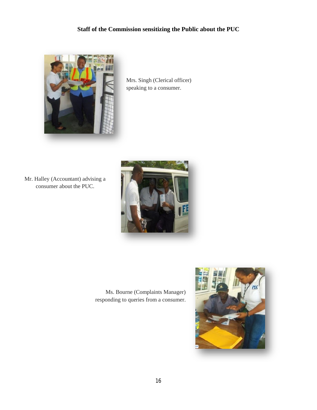## **Staff of the Commission sensitizing the Public about the PUC**



Mrs. Singh (Clerical officer) speaking to a consumer.

Mr. Halley (Accountant) advising a consumer about the PUC.



Ms. Bourne (Complaints Manager) responding to queries from a consumer.

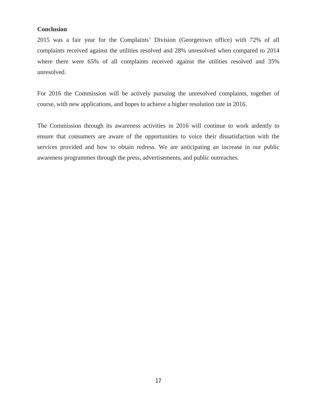#### **Conclusion**

2015 was a fair year for the Complaints' Division (Georgetown office) with 72% of all complaints received against the utilities resolved and 28% unresolved when compared to 2014 where there were 65% of all complaints received against the utilities resolved and 35% unresolved.

For 2016 the Commission will be actively pursuing the unresolved complaints, together of course, with new applications, and hopes to achieve a higher resolution rate in 2016.

The Commission through its awareness activities in 2016 will continue to work ardently to ensure that consumers are aware of the opportunities to voice their dissatisfaction with the services provided and how to obtain redress. We are anticipating an increase in our public awareness programmes through the press, advertisements, and public outreaches.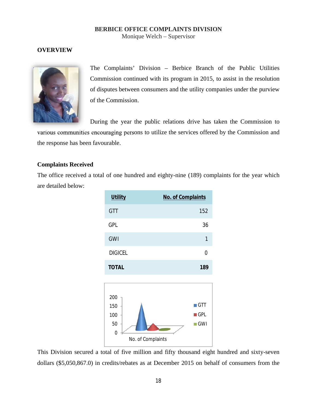## **BERBICE OFFICE COMPLAINTS DIVISION**

Monique Welch – Supervisor

## **OVERVIEW**



The Complaints' Division – Berbice Branch of the Public Utilities Commission continued with its program in 2015, to assist in the resolution of disputes between consumers and the utility companies under the purview of the Commission.

During the year the public relations drive has taken the Commission to

various communities encouraging persons to utilize the services offered by the Commission and the response has been favourable.

#### **Complaints Received**

The office received a total of one hundred and eighty-nine (189) complaints for the year which are detailed below:



This Division secured a total of five million and fifty thousand eight hundred and sixty-seven dollars (\$5,050,867.0) in credits/rebates as at December 2015 on behalf of consumers from the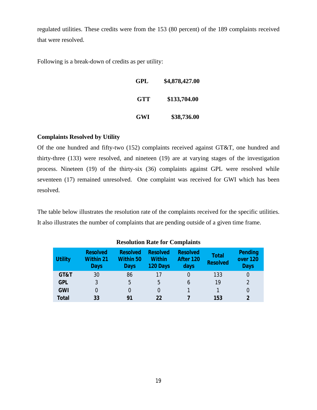regulated utilities. These credits were from the 153 (80 percent) of the 189 complaints received that were resolved.

Following is a break-down of credits as per utility:

| GPL | \$4,878,427.00 |
|-----|----------------|
| GTT | \$133,704.00   |
| GWI | \$38,736.00    |

## **Complaints Resolved by Utility**

Of the one hundred and fifty-two (152) complaints received against GT&T, one hundred and thirty-three (133) were resolved, and nineteen (19) are at varying stages of the investigation process. Nineteen (19) of the thirty-six (36) complaints against GPL were resolved while seventeen (17) remained unresolved. One complaint was received for GWI which has been resolved.

The table below illustrates the resolution rate of the complaints received for the specific utilities. It also illustrates the number of complaints that are pending outside of a given time frame.

| <b>Utility</b> | <b>Resolved</b><br>Within 21<br>Days | <b>Resolved</b><br>Within 50<br>Days | Resolved<br>Within<br>120 Days | <b>Resolved</b><br>After 120<br>days | <b>Total</b><br><b>Resolved</b> | Pending<br>over 120<br><b>Days</b> |
|----------------|--------------------------------------|--------------------------------------|--------------------------------|--------------------------------------|---------------------------------|------------------------------------|
| GT&T           | 30                                   | 86                                   | 17                             |                                      | 133                             |                                    |
| <b>GPL</b>     | 3                                    | 5                                    | 5                              | h                                    | 19                              | $\mathfrak{D}$                     |
| GWI            |                                      |                                      |                                |                                      |                                 |                                    |
| Total          | 33                                   |                                      | 22                             |                                      | 153                             |                                    |

#### **Resolution Rate for Complaints**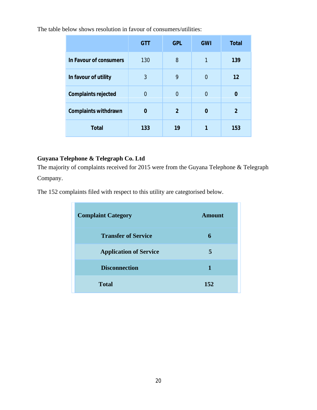The table below shows resolution in favour of consumers/utilities:

|                        | GTT      | <b>GPL</b>     | GWI            | <b>Total</b>   |
|------------------------|----------|----------------|----------------|----------------|
| In Favour of consumers | 130      | 8              | 1              | 139            |
| In favour of utility   | 3        | 9              | $\Omega$       | 12             |
| Complaints rejected    | $\Omega$ | $\Omega$       | $\overline{0}$ | $\Omega$       |
| Complaints withdrawn   | $\Omega$ | $\overline{2}$ | $\Omega$       | $\overline{2}$ |
| Total                  | 133      | 19             | 1              | 153            |

## **Guyana Telephone & Telegraph Co. Ltd**

The majority of complaints received for 2015 were from the Guyana Telephone & Telegraph Company.

The 152 complaints filed with respect to this utility are categtorised below.

| <b>Complaint Category</b>     | <b>Amount</b> |
|-------------------------------|---------------|
| <b>Transfer of Service</b>    | 6             |
| <b>Application of Service</b> | 5             |
| <b>Disconnection</b>          |               |
| <b>Total</b>                  | 152           |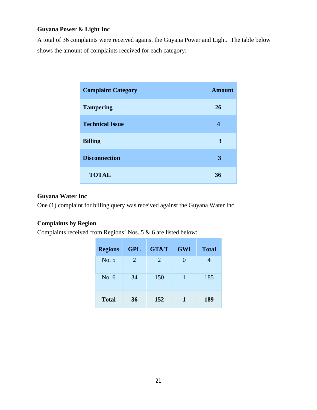## **Guyana Power & Light Inc**

A total of 36 complaints were received against the Guyana Power and Light. The table below shows the amount of complaints received for each category:

| <b>Complaint Category</b> | <b>Amount</b> |
|---------------------------|---------------|
| <b>Tampering</b>          | 26            |
| <b>Technical Issue</b>    | 4             |
| <b>Billing</b>            | 3             |
| <b>Disconnection</b>      | 3             |
| <b>TOTAL</b>              | 36            |

## **Guyana Water Inc**

One (1) complaint for billing query was received against the Guyana Water Inc.

## **Complaints by Region**

Complaints received from Regions' Nos. 5 & 6 are listed below:

| <b>Regions</b> | <b>GPL</b> | GT&T           | <b>GWI</b>   | <b>Total</b> |
|----------------|------------|----------------|--------------|--------------|
| No. 5          | 2          | $\mathfrak{2}$ | $\mathbf{0}$ |              |
| No. $6$        | 34         | 150            | 1            | 185          |
| <b>Total</b>   | 36         | 152            | 1            | 189          |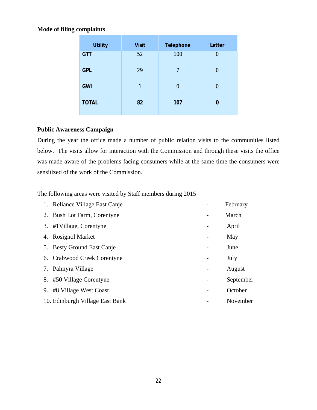## **Mode of filing complaints**

| <b>Utility</b> | <b>Visit</b> | Telephone | Letter |
|----------------|--------------|-----------|--------|
| <b>GTT</b>     | 52           | 100       | 0      |
| <b>GPL</b>     | 29           | 7         | 0      |
| <b>GWI</b>     | 1            | 0         | 0      |
| <b>TOTAL</b>   | 82           | 107       | 0      |

## **Public Awareness Campaign**

During the year the office made a number of public relation visits to the communities listed below. The visits allow for interaction with the Commission and through these visits the office was made aware of the problems facing consumers while at the same time the consumers were sensitized of the work of the Commission.

The following areas were visited by Staff members during 2015

|    | 1. Reliance Village East Canje  |   | February  |
|----|---------------------------------|---|-----------|
|    | 2. Bush Lot Farm, Corentyne     |   | March     |
|    | 3. #1 Village, Corentyne        |   | April     |
|    | 4. Rosignol Market              |   | May       |
|    | 5. Besty Ground East Canje      |   | June      |
|    | 6. Crabwood Creek Corentyne     | - | July      |
|    | 7. Palmyra Village              |   | August    |
|    | 8. #50 Village Corentyne        |   | September |
| 9. | #8 Village West Coast           |   | October   |
|    | 10. Edinburgh Village East Bank |   | November  |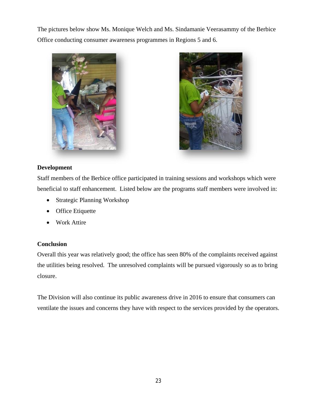The pictures below show Ms. Monique Welch and Ms. Sindamanie Veerasammy of the Berbice Office conducting consumer awareness programmes in Regions 5 and 6.





## **Development**

Staff members of the Berbice office participated in training sessions and workshops which were beneficial to staff enhancement. Listed below are the programs staff members were involved in:

- ∑ Strategic Planning Workshop
- Office Etiquette
- ∑ Work Attire

## **Conclusion**

Overall this year was relatively good; the office has seen 80% of the complaints received against the utilities being resolved. The unresolved complaints will be pursued vigorously so as to bring closure.

The Division will also continue its public awareness drive in 2016 to ensure that consumers can ventilate the issues and concerns they have with respect to the services provided by the operators.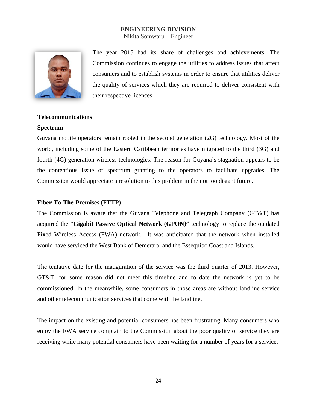#### **ENGINEERING DIVISION**

Nikita Somwaru – Engineer



The year 2015 had its share of challenges and achievements. The Commission continues to engage the utilities to address issues that affect consumers and to establish systems in order to ensure that utilities deliver the quality of services which they are required to deliver consistent with their respective licences.

#### **Telecommunications**

#### **Spectrum**

Guyana mobile operators remain rooted in the second generation (2G) technology. Most of the world, including some of the Eastern Caribbean territories have migrated to the third (3G) and fourth (4G) generation wireless technologies. The reason for Guyana's stagnation appears to be the contentious issue of spectrum granting to the operators to facilitate upgrades. The Commission would appreciate a resolution to this problem in the not too distant future.

#### **Fiber-To-The-Premises (FTTP)**

The Commission is aware that the Guyana Telephone and Telegraph Company (GT&T) has acquired the "**Gigabit Passive Optical Network (GPON)"** technology to replace the outdated Fixed Wireless Access (FWA) network. It was anticipated that the network when installed would have serviced the West Bank of Demerara, and the Essequibo Coast and Islands.

The tentative date for the inauguration of the service was the third quarter of 2013. However, GT&T, for some reason did not meet this timeline and to date the network is yet to be commissioned. In the meanwhile, some consumers in those areas are without landline service and other telecommunication services that come with the landline.

The impact on the existing and potential consumers has been frustrating. Many consumers who enjoy the FWA service complain to the Commission about the poor quality of service they are receiving while many potential consumers have been waiting for a number of years for a service.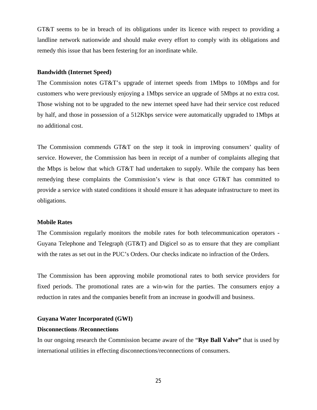GT&T seems to be in breach of its obligations under its licence with respect to providing a landline network nationwide and should make every effort to comply with its obligations and remedy this issue that has been festering for an inordinate while.

#### **Bandwidth (Internet Speed)**

The Commission notes GT&T's upgrade of internet speeds from 1Mbps to 10Mbps and for customers who were previously enjoying a 1Mbps service an upgrade of 5Mbps at no extra cost. Those wishing not to be upgraded to the new internet speed have had their service cost reduced by half, and those in possession of a 512Kbps service were automatically upgraded to 1Mbps at no additional cost.

The Commission commends GT&T on the step it took in improving consumers' quality of service. However, the Commission has been in receipt of a number of complaints alleging that the Mbps is below that which GT&T had undertaken to supply. While the company has been remedying these complaints the Commission's view is that once GT&T has committed to provide a service with stated conditions it should ensure it has adequate infrastructure to meet its obligations.

#### **Mobile Rates**

The Commission regularly monitors the mobile rates for both telecommunication operators - Guyana Telephone and Telegraph (GT&T) and Digicel so as to ensure that they are compliant with the rates as set out in the PUC's Orders. Our checks indicate no infraction of the Orders.

The Commission has been approving mobile promotional rates to both service providers for fixed periods. The promotional rates are a win-win for the parties. The consumers enjoy a reduction in rates and the companies benefit from an increase in goodwill and business.

#### **Guyana Water Incorporated (GWI)**

#### **Disconnections /Reconnections**

In our ongoing research the Commission became aware of the "**Rye Ball Valve"** that is used by international utilities in effecting disconnections/reconnections of consumers.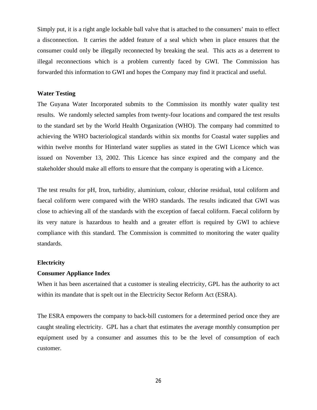Simply put, it is a right angle lockable ball valve that is attached to the consumers' main to effect a disconnection. It carries the added feature of a seal which when in place ensures that the consumer could only be illegally reconnected by breaking the seal. This acts as a deterrent to illegal reconnections which is a problem currently faced by GWI. The Commission has forwarded this information to GWI and hopes the Company may find it practical and useful.

#### **Water Testing**

The Guyana Water Incorporated submits to the Commission its monthly water quality test results. We randomly selected samples from twenty-four locations and compared the test results to the standard set by the World Health Organization (WHO). The company had committed to achieving the WHO bacteriological standards within six months for Coastal water supplies and within twelve months for Hinterland water supplies as stated in the GWI Licence which was issued on November 13, 2002. This Licence has since expired and the company and the stakeholder should make all efforts to ensure that the company is operating with a Licence.

The test results for pH, Iron, turbidity, aluminium, colour, chlorine residual, total coliform and faecal coliform were compared with the WHO standards. The results indicated that GWI was close to achieving all of the standards with the exception of faecal coliform. Faecal coliform by its very nature is hazardous to health and a greater effort is required by GWI to achieve compliance with this standard. The Commission is committed to monitoring the water quality standards.

#### **Electricity**

#### **Consumer Appliance Index**

When it has been ascertained that a customer is stealing electricity, GPL has the authority to act within its mandate that is spelt out in the Electricity Sector Reform Act (ESRA).

The ESRA empowers the company to back-bill customers for a determined period once they are caught stealing electricity. GPL has a chart that estimates the average monthly consumption per equipment used by a consumer and assumes this to be the level of consumption of each customer.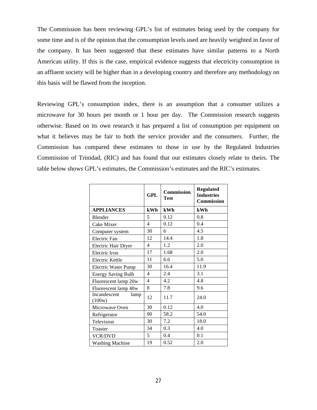The Commission has been reviewing GPL's list of estimates being used by the company for some time and is of the opinion that the consumption levels used are heavily weighted in favor of the company. It has been suggested that these estimates have similar patterns to a North American utility. If this is the case, empirical evidence suggests that electricity consumption in an affluent society will be higher than in a developing country and therefore any methodology on this basis will be flawed from the inception.

Reviewing GPL's consumption index, there is an assumption that a consumer utilizes a microwave for 30 hours per month or 1 hour per day. The Commission research suggests otherwise. Based on its own research it has prepared a list of consumption per equipment on what it believes may be fair to both the service provider and the consumers. Further, the Commission has compared these estimates to those in use by the Regulated Industries Commission of Trinidad, (RIC) and has found that our estimates closely relate to theirs. The table below shows GPL's estimates, the Commission's estimates and the RIC's estimates.

|                                | <b>GPL</b>     | <b>Commission</b><br>Test | <b>Regulated</b><br><b>Industries</b><br>Commission |
|--------------------------------|----------------|---------------------------|-----------------------------------------------------|
| <b>APPLIANCES</b>              | kWh            | kWh                       | kWh                                                 |
| Blender                        | 5              | 0.12                      | 0.8                                                 |
| Cake Mixer                     | $\overline{4}$ | 0.12                      | 0.4                                                 |
| Computer system                | 30             | 6                         | 4.5                                                 |
| Electric Fan                   | 12             | 14.4                      | 1.8                                                 |
| Electric Hair Dryer            | 4              | 1.2                       | 2.0                                                 |
| Electric Iron                  | 17             | 1.68                      | 2.0                                                 |
| <b>Electric Kettle</b>         | 11             | 6.6                       | 5.0                                                 |
| <b>Electric Water Pump</b>     | 30             | 16.4                      | 11.9                                                |
| <b>Energy Saving Bulb</b>      | $\overline{4}$ | 2.4                       | 3.1                                                 |
| Fluorescent lamp 20w           | $\overline{4}$ | 4.2                       | 4.8                                                 |
| Fluorescent lamp 40w           | 8              | 7.8                       | 9.6                                                 |
| Incandescent<br>lamp<br>(100w) | 12             | 11.7                      | 24.0                                                |
| Microwave Oven                 | 30             | 0.12                      | 4.0                                                 |
| Refrigerator                   | 90             | 58.2                      | 54.0                                                |
| Television                     | 30             | 7.2                       | 18.0                                                |
| Toaster                        | 34             | 0.3                       | 4.0                                                 |
| <b>VCR/DVD</b>                 | 5              | 0.4                       | 0.1                                                 |
| <b>Washing Machine</b>         | 19             | 0.52                      | 2.0                                                 |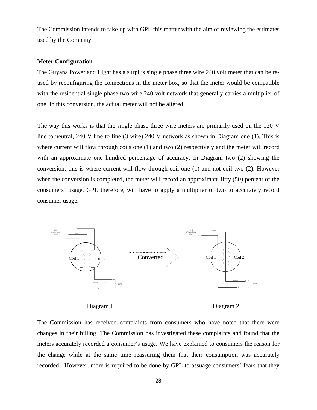The Commission intends to take up with GPL this matter with the aim of reviewing the estimates used by the Company.

#### **Meter Configuration**

The Guyana Power and Light has a surplus single phase three wire 240 volt meter that can be reused by reconfiguring the connections in the meter box, so that the meter would be compatible with the residential single phase two wire 240 volt network that generally carries a multiplier of one. In this conversion, the actual meter will not be altered.

The way this works is that the single phase three wire meters are primarily used on the 120 V line to neutral, 240 V line to line (3 wire) 240 V network as shown in Diagram one (1). This is where current will flow through coils one (1) and two (2) respectively and the meter will record with an approximate one hundred percentage of accuracy. In Diagram two (2) showing the conversion; this is where current will flow through coil one (1) and not coil two (2). However when the conversion is completed, the meter will record an approximate fifty (50) percent of the consumers' usage. GPL therefore, will have to apply a multiplier of two to accurately record consumer usage.



Diagram 1 Diagram 2

The Commission has received complaints from consumers who have noted that there were changes in their billing. The Commission has investigated these complaints and found that the meters accurately recorded a consumer's usage. We have explained to consumers the reason for the change while at the same time reassuring them that their consumption was accurately recorded. However, more is required to be done by GPL to assuage consumers' fears that they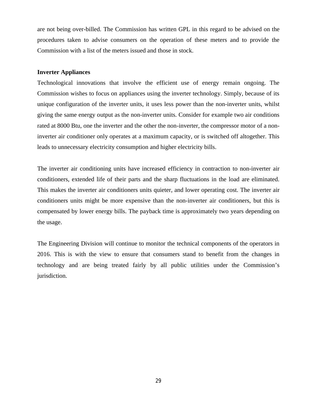are not being over-billed. The Commission has written GPL in this regard to be advised on the procedures taken to advise consumers on the operation of these meters and to provide the Commission with a list of the meters issued and those in stock.

#### **Inverter Appliances**

Technological innovations that involve the efficient use of energy remain ongoing. The Commission wishes to focus on appliances using the inverter technology. Simply, because of its unique configuration of the inverter units, it uses less power than the non-inverter units, whilst giving the same energy output as the non-inverter units. Consider for example two air conditions rated at 8000 Btu, one the inverter and the other the non-inverter, the compressor motor of a noninverter air conditioner only operates at a maximum capacity, or is switched off altogether. This leads to unnecessary electricity consumption and higher electricity bills.

The inverter air conditioning units have increased efficiency in contraction to non-inverter air conditioners, extended life of their parts and the sharp fluctuations in the load are eliminated. This makes the inverter air conditioners units quieter, and lower operating cost. The inverter air conditioners units might be more expensive than the non-inverter air conditioners, but this is compensated by lower energy bills. The payback time is approximately two years depending on the usage.

The Engineering Division will continue to monitor the technical components of the operators in 2016. This is with the view to ensure that consumers stand to benefit from the changes in technology and are being treated fairly by all public utilities under the Commission's jurisdiction.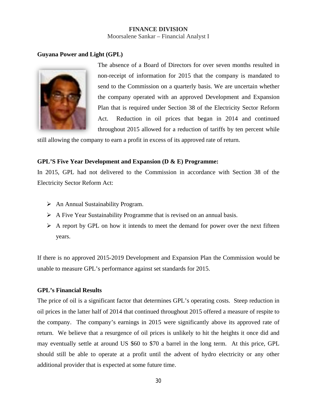#### **FINANCE DIVISION** Moorsalene Sankar – Financial Analyst I

#### **Guyana Power and Light (GPL)**



The absence of a Board of Directors for over seven months resulted in non-receipt of information for 2015 that the company is mandated to send to the Commission on a quarterly basis. We are uncertain whether the company operated with an approved Development and Expansion Plan that is required under Section 38 of the Electricity Sector Reform Act. Reduction in oil prices that began in 2014 and continued throughout 2015 allowed for a reduction of tariffs by ten percent while

still allowing the company to earn a profit in excess of its approved rate of return.

#### **GPL'S Five Year Development and Expansion (D & E) Programme:**

In 2015, GPL had not delivered to the Commission in accordance with Section 38 of the Electricity Sector Reform Act:

- $\triangleright$  An Annual Sustainability Program.
- $\triangleright$  A Five Year Sustainability Programme that is revised on an annual basis.
- $\triangleright$  A report by GPL on how it intends to meet the demand for power over the next fifteen years.

If there is no approved 2015-2019 Development and Expansion Plan the Commission would be unable to measure GPL's performance against set standards for 2015.

## **GPL's Financial Results**

The price of oil is a significant factor that determines GPL's operating costs. Steep reduction in oil prices in the latter half of 2014 that continued throughout 2015 offered a measure of respite to the company. The company's earnings in 2015 were significantly above its approved rate of return. We believe that a resurgence of oil prices is unlikely to hit the heights it once did and may eventually settle at around US \$60 to \$70 a barrel in the long term. At this price, GPL should still be able to operate at a profit until the advent of hydro electricity or any other additional provider that is expected at some future time.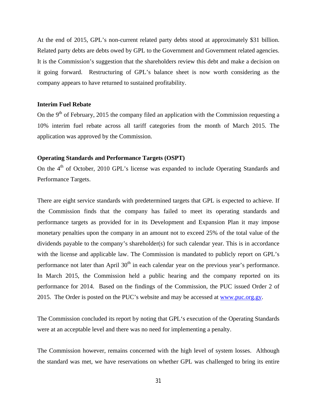At the end of 2015, GPL's non-current related party debts stood at approximately \$31 billion. Related party debts are debts owed by GPL to the Government and Government related agencies. It is the Commission's suggestion that the shareholders review this debt and make a decision on it going forward. Restructuring of GPL's balance sheet is now worth considering as the company appears to have returned to sustained profitability.

#### **Interim Fuel Rebate**

On the 9<sup>th</sup> of February, 2015 the company filed an application with the Commission requesting a 10% interim fuel rebate across all tariff categories from the month of March 2015. The application was approved by the Commission.

#### **Operating Standards and Performance Targets (OSPT)**

On the  $4<sup>th</sup>$  of October, 2010 GPL's license was expanded to include Operating Standards and Performance Targets.

There are eight service standards with predetermined targets that GPL is expected to achieve. If the Commission finds that the company has failed to meet its operating standards and performance targets as provided for in its Development and Expansion Plan it may impose monetary penalties upon the company in an amount not to exceed 25% of the total value of the dividends payable to the company's shareholder(s) for such calendar year. This is in accordance with the license and applicable law. The Commission is mandated to publicly report on GPL's performance not later than April  $30<sup>th</sup>$  in each calendar year on the previous year's performance. In March 2015, the Commission held a public hearing and the company reported on its performance for 2014. Based on the findings of the Commission, the PUC issued Order 2 of 2015. The Order is posted on the PUC's website and may be accessed at [www.puc.org.gy.](http://www.puc.org.gy/)

The Commission concluded its report by noting that GPL's execution of the Operating Standards were at an acceptable level and there was no need for implementing a penalty.

The Commission however, remains concerned with the high level of system losses. Although the standard was met, we have reservations on whether GPL was challenged to bring its entire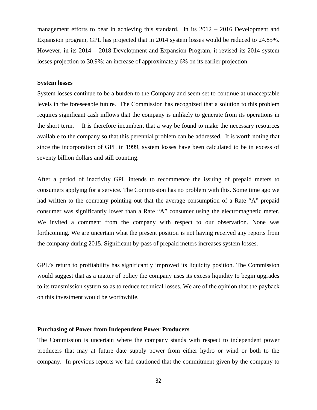management efforts to bear in achieving this standard. In its 2012 – 2016 Development and Expansion program, GPL has projected that in 2014 system losses would be reduced to 24.85%. However, in its 2014 – 2018 Development and Expansion Program, it revised its 2014 system losses projection to 30.9%; an increase of approximately 6% on its earlier projection.

#### **System losses**

System losses continue to be a burden to the Company and seem set to continue at unacceptable levels in the foreseeable future. The Commission has recognized that a solution to this problem requires significant cash inflows that the company is unlikely to generate from its operations in the short term. It is therefore incumbent that a way be found to make the necessary resources available to the company so that this perennial problem can be addressed. It is worth noting that since the incorporation of GPL in 1999, system losses have been calculated to be in excess of seventy billion dollars and still counting.

After a period of inactivity GPL intends to recommence the issuing of prepaid meters to consumers applying for a service. The Commission has no problem with this. Some time ago we had written to the company pointing out that the average consumption of a Rate "A" prepaid consumer was significantly lower than a Rate "A" consumer using the electromagnetic meter. We invited a comment from the company with respect to our observation. None was forthcoming. We are uncertain what the present position is not having received any reports from the company during 2015. Significant by-pass of prepaid meters increases system losses.

GPL's return to profitability has significantly improved its liquidity position. The Commission would suggest that as a matter of policy the company uses its excess liquidity to begin upgrades to its transmission system so as to reduce technical losses. We are of the opinion that the payback on this investment would be worthwhile.

#### **Purchasing of Power from Independent Power Producers**

The Commission is uncertain where the company stands with respect to independent power producers that may at future date supply power from either hydro or wind or both to the company. In previous reports we had cautioned that the commitment given by the company to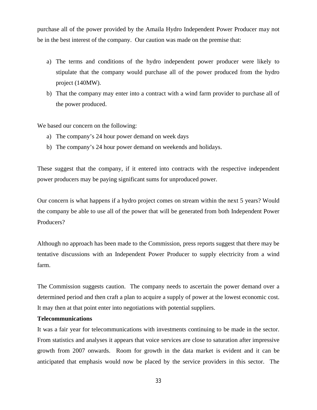purchase all of the power provided by the Amaila Hydro Independent Power Producer may not be in the best interest of the company. Our caution was made on the premise that:

- a) The terms and conditions of the hydro independent power producer were likely to stipulate that the company would purchase all of the power produced from the hydro project (140MW).
- b) That the company may enter into a contract with a wind farm provider to purchase all of the power produced.

We based our concern on the following:

- a) The company's 24 hour power demand on week days
- b) The company's 24 hour power demand on weekends and holidays.

These suggest that the company, if it entered into contracts with the respective independent power producers may be paying significant sums for unproduced power.

Our concern is what happens if a hydro project comes on stream within the next 5 years? Would the company be able to use all of the power that will be generated from both Independent Power Producers?

Although no approach has been made to the Commission, press reports suggest that there may be tentative discussions with an Independent Power Producer to supply electricity from a wind farm.

The Commission suggests caution. The company needs to ascertain the power demand over a determined period and then craft a plan to acquire a supply of power at the lowest economic cost. It may then at that point enter into negotiations with potential suppliers.

#### **Telecommunications**

It was a fair year for telecommunications with investments continuing to be made in the sector. From statistics and analyses it appears that voice services are close to saturation after impressive growth from 2007 onwards. Room for growth in the data market is evident and it can be anticipated that emphasis would now be placed by the service providers in this sector. The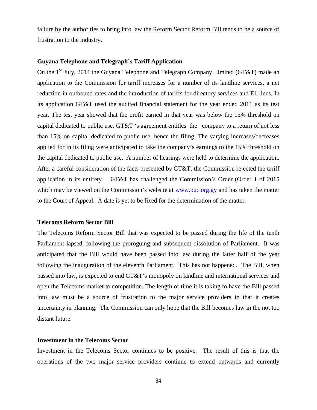failure by the authorities to bring into law the Reform Sector Reform Bill tends to be a source of frustration to the industry.

#### **Guyana Telephone and Telegraph's Tariff Application**

On the 1<sup>st</sup> July, 2014 the Guyana Telephone and Telegraph Company Limited (GT&T) made an application to the Commission for tariff increases for a number of its landline services, a net reduction in outbound rates and the introduction of tariffs for directory services and E1 lines. In its application GT&T used the audited financial statement for the year ended 2011 as its test year. The test year showed that the profit earned in that year was below the 15% threshold on capital dedicated to public use. GT&T 's agreement entitles the company to a return of not less than 15% on capital dedicated to public use, hence the filing. The varying increases/decreases applied for in its filing were anticipated to take the company's earnings to the 15% threshold on the capital dedicated to public use. A number of hearings were held to determine the application. After a careful consideration of the facts presented by GT&T, the Commission rejected the tariff application in its entirety. GT&T has challenged the Commission's Order (Order 1 of 2015 which may be viewed on the Commission's website at www.puc.org.gy and has taken the matter to the Court of Appeal. A date is yet to be fixed for the determination of the matter.

#### **Telecoms Reform Sector Bill**

The Telecoms Reform Sector Bill that was expected to be passed during the life of the tenth Parliament lapsed, following the proroguing and subsequent dissolution of Parliament. It was anticipated that the Bill would have been passed into law during the latter half of the year following the inauguration of the eleventh Parliament. This has not happened. The Bill, when passed into law, is expected to end GT&T's monopoly on landline and international services and open the Telecoms market to competition. The length of time it is taking to have the Bill passed into law must be a source of frustration to the major service providers in that it creates uncertainty in planning. The Commission can only hope that the Bill becomes law in the not too distant future.

#### **Investment in the Telecoms Sector**

Investment in the Telecoms Sector continues to be positive. The result of this is that the operations of the two major service providers continue to extend outwards and currently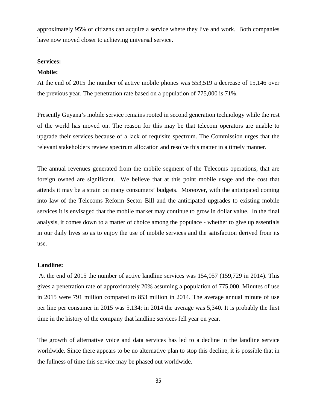approximately 95% of citizens can acquire a service where they live and work. Both companies have now moved closer to achieving universal service.

#### **Services:**

#### **Mobile:**

At the end of 2015 the number of active mobile phones was 553,519 a decrease of 15,146 over the previous year. The penetration rate based on a population of 775,000 is 71%.

Presently Guyana's mobile service remains rooted in second generation technology while the rest of the world has moved on. The reason for this may be that telecom operators are unable to upgrade their services because of a lack of requisite spectrum. The Commission urges that the relevant stakeholders review spectrum allocation and resolve this matter in a timely manner.

The annual revenues generated from the mobile segment of the Telecoms operations, that are foreign owned are significant. We believe that at this point mobile usage and the cost that attends it may be a strain on many consumers' budgets. Moreover, with the anticipated coming into law of the Telecoms Reform Sector Bill and the anticipated upgrades to existing mobile services it is envisaged that the mobile market may continue to grow in dollar value. In the final analysis, it comes down to a matter of choice among the populace - whether to give up essentials in our daily lives so as to enjoy the use of mobile services and the satisfaction derived from its use.

#### **Landline:**

At the end of 2015 the number of active landline services was 154,057 (159,729 in 2014). This gives a penetration rate of approximately 20% assuming a population of 775,000. Minutes of use in 2015 were 791 million compared to 853 million in 2014. The average annual minute of use per line per consumer in 2015 was 5,134; in 2014 the average was 5,340. It is probably the first time in the history of the company that landline services fell year on year.

The growth of alternative voice and data services has led to a decline in the landline service worldwide. Since there appears to be no alternative plan to stop this decline, it is possible that in the fullness of time this service may be phased out worldwide.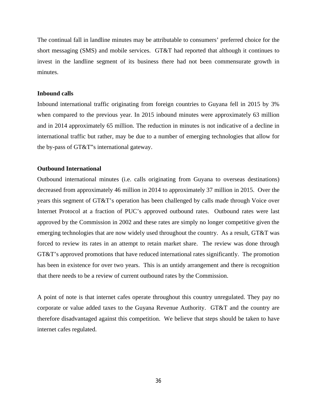The continual fall in landline minutes may be attributable to consumers' preferred choice for the short messaging (SMS) and mobile services. GT&T had reported that although it continues to invest in the landline segment of its business there had not been commensurate growth in minutes.

#### **Inbound calls**

Inbound international traffic originating from foreign countries to Guyana fell in 2015 by 3% when compared to the previous year. In 2015 inbound minutes were approximately 63 million and in 2014 approximately 65 million. The reduction in minutes is not indicative of a decline in international traffic but rather, may be due to a number of emerging technologies that allow for the by-pass of GT&T"s international gateway.

#### **Outbound International**

Outbound international minutes (i.e. calls originating from Guyana to overseas destinations) decreased from approximately 46 million in 2014 to approximately 37 million in 2015. Over the years this segment of GT&T's operation has been challenged by calls made through Voice over Internet Protocol at a fraction of PUC's approved outbound rates. Outbound rates were last approved by the Commission in 2002 and these rates are simply no longer competitive given the emerging technologies that are now widely used throughout the country. As a result, GT&T was forced to review its rates in an attempt to retain market share. The review was done through GT&T's approved promotions that have reduced international rates significantly. The promotion has been in existence for over two years. This is an untidy arrangement and there is recognition that there needs to be a review of current outbound rates by the Commission.

A point of note is that internet cafes operate throughout this country unregulated. They pay no corporate or value added taxes to the Guyana Revenue Authority. GT&T and the country are therefore disadvantaged against this competition. We believe that steps should be taken to have internet cafes regulated.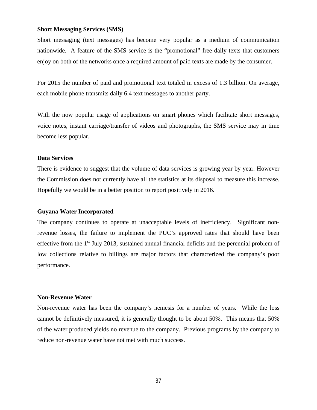#### **Short Messaging Services (SMS)**

Short messaging (text messages) has become very popular as a medium of communication nationwide. A feature of the SMS service is the "promotional" free daily texts that customers enjoy on both of the networks once a required amount of paid texts are made by the consumer.

For 2015 the number of paid and promotional text totaled in excess of 1.3 billion. On average, each mobile phone transmits daily 6.4 text messages to another party.

With the now popular usage of applications on smart phones which facilitate short messages, voice notes, instant carriage/transfer of videos and photographs, the SMS service may in time become less popular.

#### **Data Services**

There is evidence to suggest that the volume of data services is growing year by year. However the Commission does not currently have all the statistics at its disposal to measure this increase. Hopefully we would be in a better position to report positively in 2016.

#### **Guyana Water Incorporated**

The company continues to operate at unacceptable levels of inefficiency. Significant nonrevenue losses, the failure to implement the PUC's approved rates that should have been effective from the 1<sup>st</sup> July 2013, sustained annual financial deficits and the perennial problem of low collections relative to billings are major factors that characterized the company's poor performance.

#### **Non-Revenue Water**

Non-revenue water has been the company's nemesis for a number of years. While the loss cannot be definitively measured, it is generally thought to be about 50%. This means that 50% of the water produced yields no revenue to the company. Previous programs by the company to reduce non-revenue water have not met with much success.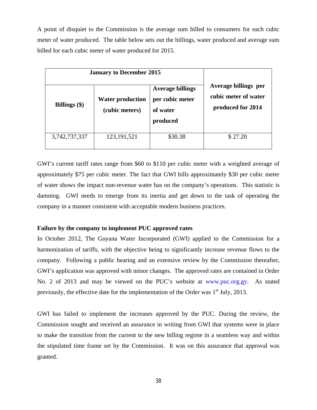A point of disquiet to the Commission is the average sum billed to consumers for each cubic meter of water produced. The table below sets out the billings, water produced and average sum billed for each cubic meter of water produced for 2015.

| <b>January to December 2015</b> |                                           |         |                                                                   |  |
|---------------------------------|-------------------------------------------|---------|-------------------------------------------------------------------|--|
| Billings $(\$)$                 | <b>Water production</b><br>(cubic meters) |         | Average billings per<br>cubic meter of water<br>produced for 2014 |  |
| 3,742,737,337                   | 123, 191, 521                             | \$30.38 | \$27.20                                                           |  |

GWI's current tariff rates range from \$60 to \$110 per cubic meter with a weighted average of approximately \$75 per cubic meter. The fact that GWI bills approximately \$30 per cubic meter of water shows the impact non-revenue water has on the company's operations. This statistic is damning. GWI needs to emerge from its inertia and get down to the task of operating the company in a manner consistent with acceptable modern business practices.

#### **Failure by the company to implement PUC approved rates**

In October 2012, The Guyana Water Incorporated (GWI) applied to the Commission for a harmonization of tariffs, with the objective being to significantly increase revenue flows to the company. Following a public hearing and an extensive review by the Commission thereafter, GWI's application was approved with minor changes. The approved rates are contained in Order No. 2 of 2013 and may be viewed on the PUC's website at www.puc.org.gy. As stated previously, the effective date for the implementation of the Order was  $1<sup>st</sup>$  July, 2013.

GWI has failed to implement the increases approved by the PUC. During the review, the Commission sought and received an assurance in writing from GWI that systems were in place to make the transition from the current to the new billing regime in a seamless way and within the stipulated time frame set by the Commission. It was on this assurance that approval was granted.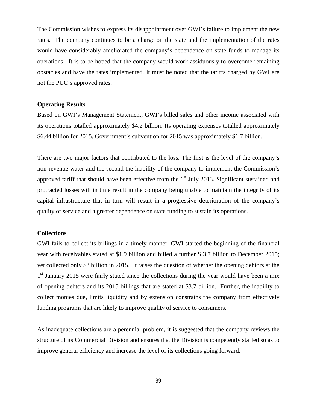The Commission wishes to express its disappointment over GWI's failure to implement the new rates. The company continues to be a charge on the state and the implementation of the rates would have considerably ameliorated the company's dependence on state funds to manage its operations. It is to be hoped that the company would work assiduously to overcome remaining obstacles and have the rates implemented. It must be noted that the tariffs charged by GWI are not the PUC's approved rates.

#### **Operating Results**

Based on GWI's Management Statement, GWI's billed sales and other income associated with its operations totalled approximately \$4.2 billion. Its operating expenses totalled approximately \$6.44 billion for 2015. Government's subvention for 2015 was approximately \$1.7 billion.

There are two major factors that contributed to the loss. The first is the level of the company's non-revenue water and the second the inability of the company to implement the Commission's approved tariff that should have been effective from the  $1<sup>st</sup>$  July 2013. Significant sustained and protracted losses will in time result in the company being unable to maintain the integrity of its capital infrastructure that in turn will result in a progressive deterioration of the company's quality of service and a greater dependence on state funding to sustain its operations.

#### **Collections**

GWI fails to collect its billings in a timely manner. GWI started the beginning of the financial year with receivables stated at \$1.9 billion and billed a further \$ 3.7 billion to December 2015; yet collected only \$3 billion in 2015. It raises the question of whether the opening debtors at the 1<sup>st</sup> January 2015 were fairly stated since the collections during the year would have been a mix of opening debtors and its 2015 billings that are stated at \$3.7 billion. Further, the inability to collect monies due, limits liquidity and by extension constrains the company from effectively funding programs that are likely to improve quality of service to consumers.

As inadequate collections are a perennial problem, it is suggested that the company reviews the structure of its Commercial Division and ensures that the Division is competently staffed so as to improve general efficiency and increase the level of its collections going forward.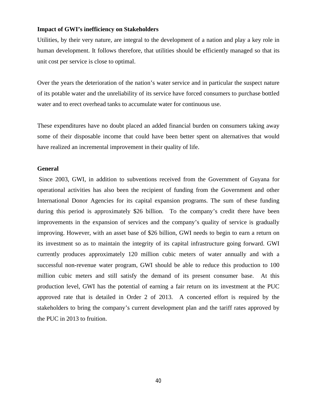#### **Impact of GWI's inefficiency on Stakeholders**

Utilities, by their very nature, are integral to the development of a nation and play a key role in human development. It follows therefore, that utilities should be efficiently managed so that its unit cost per service is close to optimal.

Over the years the deterioration of the nation's water service and in particular the suspect nature of its potable water and the unreliability of its service have forced consumers to purchase bottled water and to erect overhead tanks to accumulate water for continuous use.

These expenditures have no doubt placed an added financial burden on consumers taking away some of their disposable income that could have been better spent on alternatives that would have realized an incremental improvement in their quality of life.

#### **General**

Since 2003, GWI, in addition to subventions received from the Government of Guyana for operational activities has also been the recipient of funding from the Government and other International Donor Agencies for its capital expansion programs. The sum of these funding during this period is approximately \$26 billion. To the company's credit there have been improvements in the expansion of services and the company's quality of service is gradually improving. However, with an asset base of \$26 billion, GWI needs to begin to earn a return on its investment so as to maintain the integrity of its capital infrastructure going forward. GWI currently produces approximately 120 million cubic meters of water annually and with a successful non-revenue water program, GWI should be able to reduce this production to 100 million cubic meters and still satisfy the demand of its present consumer base. At this production level, GWI has the potential of earning a fair return on its investment at the PUC approved rate that is detailed in Order 2 of 2013. A concerted effort is required by the stakeholders to bring the company's current development plan and the tariff rates approved by the PUC in 2013 to fruition.